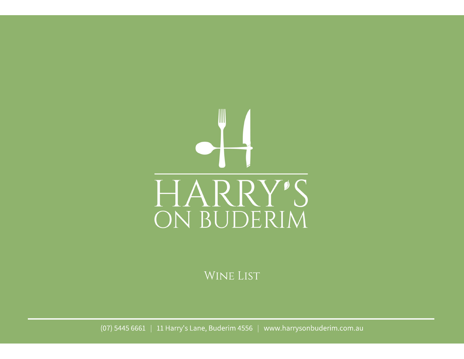

WINE LIST

(07) 5445 6661 | 11 Harry's Lane, Buderim 4556 www.harrysonbuderim.com.au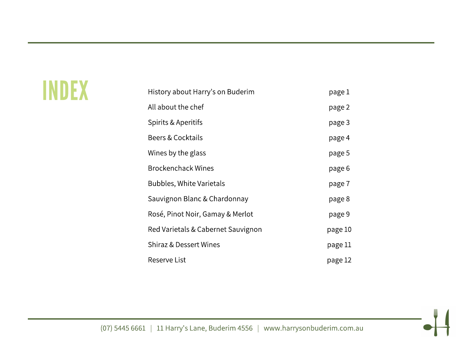# INDEX

| History about Harry's on Buderim   | page 1  |
|------------------------------------|---------|
| All about the chef                 | page 2  |
| Spirits & Aperitifs                | page 3  |
| Beers & Cocktails                  | page 4  |
| Wines by the glass                 | page 5  |
| <b>Brockenchack Wines</b>          | page 6  |
| <b>Bubbles, White Varietals</b>    | page 7  |
| Sauvignon Blanc & Chardonnay       | page 8  |
| Rosé, Pinot Noir, Gamay & Merlot   | page 9  |
| Red Varietals & Cabernet Sauvignon | page 10 |
| Shiraz & Dessert Wines             | page 11 |
| Reserve List                       | page 12 |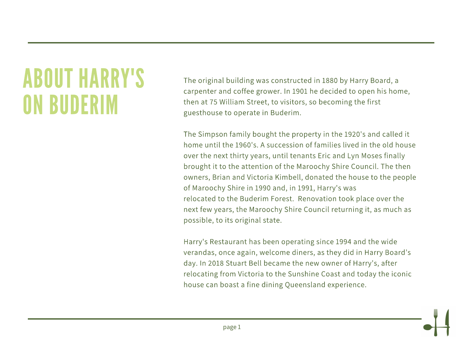# **ABOUT HARRY'S ON BUDERIM**

The original building was constructed in 1880 by Harry Board, a carpenter and coffee grower. In 1901 he decided to open his home, then at 75 William Street, to visitors, so becoming the first guesthouse to operate in Buderim.

The Simpson family bought the property in the 1920's and called it home until the 1960's. A succession of families lived in the old house over the next thirty years, until tenants Eric and Lyn Moses finally brought it to the attention of the Maroochy Shire Council. The then owners, Brian and Victoria Kimbell, donated the house to the people of Maroochy Shire in 1990 and, in 1991, Harry's was relocated to the Buderim Forest. Renovation took place over the next few years, the Maroochy Shire Council returning it, as much as possible, to its original state.

Harry's Restaurant has been operating since 1994 and the wide verandas, once again, welcome diners, as they did in Harry Board's day. In 2018 Stuart Bell became the new owner of Harry's, after relocating from Victoria to the Sunshine Coast and today the iconic house can boast a fine dining Queensland experience.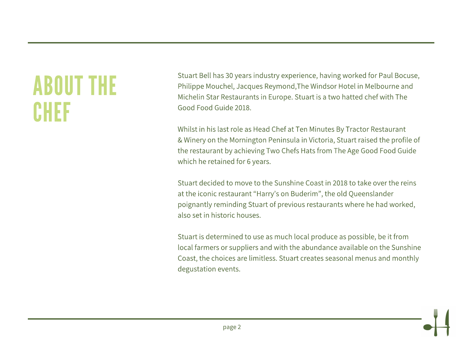# **ABOUT THE** CHEF

Stuart Bell has 30 years industry experience, having worked for Paul Bocuse, Philippe Mouchel, Jacques Reymond, The Windsor Hotel in Melbourne and Michelin Star Restaurants in Europe. Stuart is a two hatted chef with The Good Food Guide 2018.

Whilst in his last role as Head Chef at Ten Minutes By Tractor Restaurant & Winery on the Mornington Peninsula in Victoria, Stuart raised the profile of the restaurant by achieving Two Chefs Hats from The Age Good Food Guide which he retained for 6 years.

Stuart decided to move to the Sunshine Coast in 2018 to take over the reins at the iconic restaurant "Harry's on Buderim", the old Queenslander poignantly reminding Stuart of previous restaurants where he had worked, also set in historic houses.

Stuart is determined to use as much local produce as possible, be it from local farmers or suppliers and with the abundance available on the Sunshine Coast, the choices are limitless. Stuart creates seasonal menus and monthly degustation events.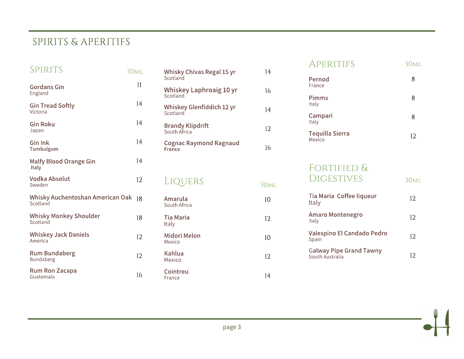# SPIRITS & APERITIFS

| SPIRITS                                      | 30 <sub>ML</sub> |
|----------------------------------------------|------------------|
| <b>Gordans Gin</b><br>England                | 11               |
| <b>Gin Tread Softly</b><br>Victoria          | 14               |
| <b>Gin Roku</b><br>Japan                     | 14               |
| <b>Gin Ink</b><br>Tumbulgum                  | 14               |
| <b>Malfy Blood Orange Gin</b><br>Italy       | 14               |
| Vodka Absolut<br>Sweden                      | 12               |
| Whisky Auchentoshan American Oak<br>Scotland | 18               |
| <b>Whisky Monkey Shoulder</b><br>Scotland    | 18               |
| <b>Whiskey Jack Daniels</b><br>America       | 12               |
| <b>Rum Bundaberg</b><br>Bundaberg            | 12               |
| Rum Ron Zacapa<br>Guatemala                  | 16               |

| Whisky Chivas Regal 15 yr<br>Scotland   | 14 |
|-----------------------------------------|----|
| Whiskey Laphroaig 10 yr<br>Scotland     | 16 |
| Whiskey Glenfiddich 12 yr<br>Scotland   | 14 |
| Brandy Klipdrift<br>South Africa        | 12 |
| <b>Cognac Raymond Ragnaud</b><br>France | 16 |
|                                         |    |

#### LIQUERS **30ML Amarula**<br>South Africa  $10\,$ **Tia Maria** 12 Italy Midori Melon<br>Mexico  $10<sup>°</sup>$ Kahlua<br>Mexico 12 Cointreu  $14$ France

#### APERITIFS **30ML**

| Pernod<br>France                 | 8  |
|----------------------------------|----|
| Pimms<br>Italy                   | 8  |
| Campari<br>Italy                 | 8  |
| <b>Tequilla Sierra</b><br>Mexico | 12 |

#### FORTIFIED & **DIGESTIVES**

**30ML** 

| Tia Maria Coffee liqueur<br>Italy                 | 12 |
|---------------------------------------------------|----|
| Amaro Montenegro<br>Italy                         | 12 |
| Valespino El Candado Pedro<br>Spain               | 12 |
| <b>Galway Pipe Grand Tawny</b><br>South Australia | 12 |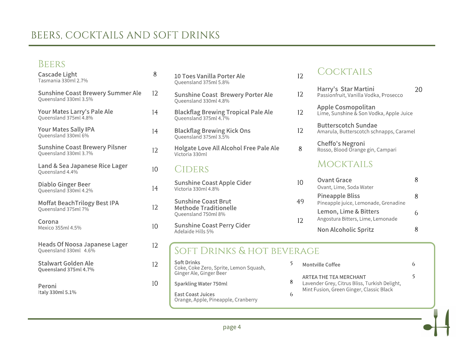# BEERS, COCKTAILS AND SOFT DRINKS

#### BEERS

| <b>Cascade Light</b><br>Tasmania 330ml 2.7%                       | 8  | 10 T<br>Quee         |
|-------------------------------------------------------------------|----|----------------------|
| <b>Sunshine Coast Brewery Summer Ale</b><br>Queensland 330ml 3.5% | 12 | Sun<br>Quee          |
| Your Mates Larry's Pale Ale<br>Queensland 375ml 4.8%              | 14 | Blac<br>Quee         |
| <b>Your Mates Sally IPA</b><br>Queensland 330ml 6%                | 14 | Blad<br>Quee         |
| <b>Sunshine Coast Brewery Pilsner</b><br>Queensland 330ml 3.7%    | 12 | Hol,<br>Victo        |
| Land & Sea Japanese Rice Lager<br>Queensland 4.4%                 | 10 | СI                   |
| Diablo Ginger Beer<br>Queensland 330ml 4.2%                       | 14 | Sun<br>Victo         |
| Moffat BeachTrilogy Best IPA<br>Queensland 375ml 7%               | 12 | Sun<br>Met<br>Quee   |
| Corona<br>Mexico 355ml 4.5%                                       | 10 | Sun<br>Adel          |
| Heads Of Noosa Japanese Lager<br>Queensland 330ml 4.6%            | 12 |                      |
| <b>Stalwart Golden Ale</b><br>Queensland 375ml 4.7%               | 12 | Soft<br>Coke<br>Ging |
| Peroni                                                            | 10 | Spar                 |
| Italy 330ml 5.1%                                                  |    | East<br>Orar         |

| 10 Toes Vanilla Porter Ale<br>Queensland 375ml 5.8%                           |   | 12                         |                      |
|-------------------------------------------------------------------------------|---|----------------------------|----------------------|
| <b>Sunshine Coast Brewery Porter Ale</b><br>Queensland 330ml 4.8%             |   | 12                         | Ha<br>Pa             |
| <b>Blackflag Brewing Tropical Pale Ale</b><br>Queensland 375ml 4.7%           |   | 12                         | Αr<br>Lir            |
| <b>Blackflag Brewing Kick Ons</b><br>Queensland 375ml 3.5%                    |   | 12                         | Βι<br>An             |
| Holgate Love All Alcohol Free Pale Ale<br>Victoria 330ml                      |   | 8                          | C <sub>l</sub><br>Ro |
| CIDERS                                                                        |   |                            |                      |
| <b>Sunshine Coast Apple Cider</b><br>Victoria 330ml 4.8%                      |   | 10                         | O١<br>Ov             |
| <b>Sunshine Coast Brut</b><br><b>Methode Traditionelle</b>                    |   | 49                         | Pi<br>Pir<br>Le      |
| Queensland 750ml 8%<br><b>Sunshine Coast Perry Cider</b><br>Adelaide Hills 5% |   | 12                         | An<br>No             |
| SOFT DRINKS & HOT BEVERAGE                                                    |   |                            |                      |
| <b>Soft Drinks</b><br>Coke, Coke Zero, Sprite, Lemon Squash,                  | 5 | Montville                  |                      |
| Ginger Ale, Ginger Beer<br>Sparkling Water 750ml                              | 8 | <b>ARTEATH</b><br>Lavender |                      |

**t Coast Juices**<br>nge, Apple, Pineapple, Cranberry

#### COCKTAILS

| Harry's Star Martini<br>Passionfruit, Vanilla Vodka, Prosecco         | 20 |
|-----------------------------------------------------------------------|----|
| Apple Cosmopolitan<br>Lime, Sunshine & Son Vodka, Apple Juice         |    |
| <b>Butterscotch Sundae</b><br>Amarula, Butterscotch schnapps, Caramel |    |
| Cheffo's Negroni<br>Rosso, Blood Orange gin, Campari                  |    |
| <b>MOCKTAILS</b>                                                      |    |
| Ovant Grace<br>Ovant, Lime, Soda Water                                | 8  |
| <b>Pineapple Bliss</b><br>Pineapple juice, Lemonade, Grenadine        | 8  |
| Lemon, Lime & Bitters<br>Angostura Bitters, Lime, Lemonade            | 6  |
| Non Alcoholic Spritz                                                  | 8  |

|   | Montville Coffee                                                                                                    |  |
|---|---------------------------------------------------------------------------------------------------------------------|--|
| 8 | ARTEA THE TEA MERCHANT<br>Lavender Grey, Citrus Bliss, Turkish Delight,<br>Mint Fusion, Green Ginger, Classic Black |  |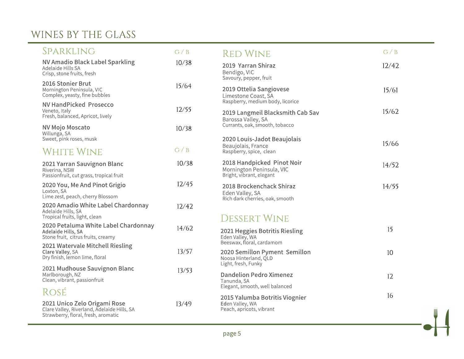# WINES BY THE GLASS

| SPARKLING                                                                                                          | G / B | <b>RED WINE</b>                                                                            | G / B |
|--------------------------------------------------------------------------------------------------------------------|-------|--------------------------------------------------------------------------------------------|-------|
| <b>NV Amadio Black Label Sparkling</b><br>Adelaide Hills SA<br>Crisp, stone fruits, fresh                          | 10/38 | 2019 Yarran Shiraz<br>Bendigo, VIC<br>Savoury, pepper, fruit                               | 12/42 |
| 2016 Stonier Brut<br>Mornington Peninsula, VIC<br>Complex, yeasty, fine bubbles                                    | 15/64 | 2019 Ottelia Sangiovese<br>Limestone Coast, SA                                             | 15/61 |
| <b>NV HandPicked Prosecco</b><br>Veneto, Italy<br>Fresh, balanced, Apricot, lively                                 | 12/55 | Raspberry, medium body, licorice<br>2019 Langmeil Blacksmith Cab Sav<br>Barossa Valley, SA | 15/62 |
| <b>NV Mojo Moscato</b><br>Willunga, SA                                                                             | 10/38 | Currants, oak, smooth, tobacco                                                             |       |
| Sweet, pink roses, musk<br>White Wine                                                                              | G / B | 2020 Louis-Jadot Beaujolais<br>Beaujolais, France<br>Raspberry, spice, clean               | 15/66 |
| 2021 Yarran Sauvignon Blanc<br>Riverina, NSW<br>Passionfruit, cut grass, tropical fruit                            | 10/38 | 2018 Handpicked Pinot Noir<br>Mornington Peninsula, VIC<br>Bright, vibrant, elegant        | 14/52 |
| 2020 You, Me And Pinot Grigio<br>Loxton, SA<br>Lime zest, peach, cherry Blossom                                    | 12/45 | 2018 Brockenchack Shiraz<br>Eden Valley, SA<br>Rich dark cherries, oak, smooth             | 14/55 |
| 2020 Amadio White Label Chardonnay<br>Adelaide Hills, SA<br>Tropical fruits, light, clean                          | 12/42 | <b>DESSERT WINE</b>                                                                        |       |
| 2020 Petaluma White Label Chardonnay<br>Adelaide Hills, SA<br>Stone fruit, citrus fruits, creamy                   | 14/62 | 2021 Heggies Botritis Riesling<br>Eden Valley, WA                                          | 15    |
| 2021 Watervale Mitchell Riesling<br>Clare Valley, SA<br>Dry finish, lemon lime, floral                             | 13/57 | Beeswax, floral, cardamom<br>2020 Semillon Pyment Semillon<br>Noosa Hinterland, QLD        | 10    |
| 2021 Mudhouse Sauvignon Blanc<br>Marlborough, NZ<br>Clean, vibrant, passionfruit                                   | 13/53 | Light, fresh, Funky<br><b>Dandelion Pedro Ximenez</b><br>Tanunda, SA                       | 12    |
| ROSÉ                                                                                                               |       | Elegant, smooth, well balanced                                                             | 16    |
| 2021 Unico Zelo Origami Rose<br>Clare Valley, Riverland, Adelaide Hills, SA<br>Strawberry, floral, fresh, aromatic | 13/49 | 2015 Yalumba Botritis Viognier<br>Eden Valley, WA<br>Peach, apricots, vibrant              |       |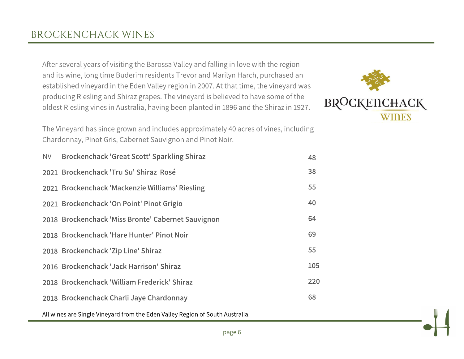After several years of visiting the Barossa Valley and falling in love with the region and its wine, long time Buderim residents Trevor and Marilyn Harch, purchased an established vineyard in the Eden Valley region in 2007. At that time, the vineyard was producing Riesling and Shiraz grapes. The vineyard is believed to have some of the oldest Riesling vines in Australia, having been planted in 1896 and the Shiraz in 1927.

The Vineyard has since grown and includes approximately 40 acres of vines, including Chardonnay, Pinot Gris, Cabernet Sauvignon and Pinot Noir.

| NV Brockenchack 'Great Scott' Sparkling Shiraz     | 48  |
|----------------------------------------------------|-----|
| 2021 Brockenchack 'Tru Su' Shiraz Rosé             | 38  |
| 2021 Brockenchack 'Mackenzie Williams' Riesling    | 55  |
| 2021 Brockenchack 'On Point' Pinot Grigio          | 40  |
| 2018 Brockenchack 'Miss Bronte' Cabernet Sauvignon | 64  |
| 2018 Brockenchack 'Hare Hunter' Pinot Noir         | 69  |
| 2018 Brockenchack 'Zip Line' Shiraz                | 55  |
| 2016 Brockenchack 'Jack Harrison' Shiraz           | 105 |
| 2018 Brockenchack 'William Frederick' Shiraz       | 220 |
| 2018 Brockenchack Charli Jaye Chardonnay           | 68  |
|                                                    |     |

All wines are Single Vineyard from the Eden Valley Region of South Australia.

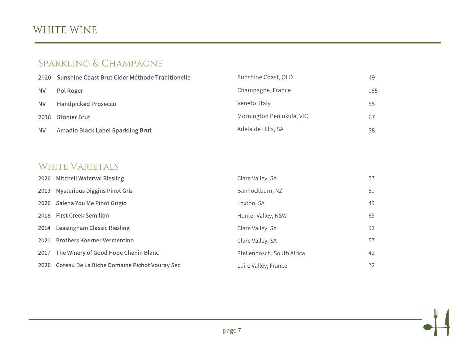# WHITE WINE

### SPARKLING & CHAMPAGNE

|           | 2020 Sunshine Coast Brut Cider Méthode Traditionelle | Sunshine Coast, QLD       | 49  |
|-----------|------------------------------------------------------|---------------------------|-----|
| <b>NV</b> | Pol Roger                                            | Champagne, France         | 165 |
| <b>NV</b> | <b>Handpicked Prosecco</b>                           | Veneto, Italy             | 55  |
|           | 2016 Stonier Brut                                    | Mornington Peninsula, VIC | 67  |
| <b>NV</b> | Amadio Black Label Sparkling Brut                    | Adelaide Hills, SA        | 38  |

#### WHITE VARIETALS

| 2020 Mitchell Waterval Riesling                   | Clare Valley, SA           | 57 |
|---------------------------------------------------|----------------------------|----|
| 2019 Mysterious Diggins Pinot Gris                | Bannockburn, NZ            | 51 |
| 2020 Salena You Me Pinot Grigio                   | Loxton, SA                 | 49 |
| 2018 First Creek Semillon                         | Hunter Valley, NSW         | 65 |
| 2014 Leasingham Classic Riesling                  | Clare Valley, SA           | 93 |
| 2021 Brothers Koerner Vermentino                  | Clare Valley, SA           | 57 |
| 2017 The Winery of Good Hope Chenin Blanc         | Stellenbosch, South Africa | 42 |
| 2020 Coteau De La Biche Domaine Pichot Vouray Sec | Loire Valley, France       | 72 |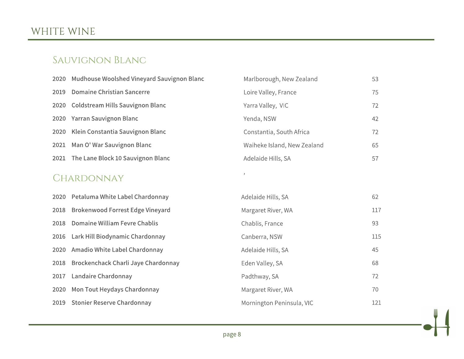# WHITE WINE

#### SAUVIGNON BLANC

|      | 2020 Mudhouse Woolshed Vineyard Sauvignon Blanc | Marlborough, New Zealand    |
|------|-------------------------------------------------|-----------------------------|
| 2019 | <b>Domaine Christian Sancerre</b>               | Loire Valley, France        |
|      | 2020 Coldstream Hills Sauvignon Blanc           | Yarra Valley, VIC           |
|      | 2020 Yarran Sauvignon Blanc                     | Yenda, NSW                  |
| 2020 | Klein Constantia Sauvignon Blanc                | Constantia, South Africa    |
| 2021 | Man O' War Sauvignon Blanc                      | Waiheke Island, New Zealand |
| 2021 | The Lane Block 10 Sauvignon Blanc               | Adelaide Hills, SA          |

53

75

72

42

72

65

57

#### CHARDONNAY

|      | 2020 Petaluma White Label Chardonnay    | Adelaide Hills, SA        | 62  |
|------|-----------------------------------------|---------------------------|-----|
| 2018 | <b>Brokenwood Forrest Edge Vineyard</b> | Margaret River, WA        | 117 |
| 2018 | Domaine William Fevre Chablis           | Chablis, France           | 93  |
|      | 2016 Lark Hill Biodynamic Chardonnay    | Canberra, NSW             | 115 |
| 2020 | Amadio White Label Chardonnay           | Adelaide Hills, SA        | 45  |
| 2018 | Brockenchack Charli Jaye Chardonnay     | Eden Valley, SA           | 68  |
| 2017 | Landaire Chardonnay                     | Padthway, SA              | 72  |
| 2020 | Mon Tout Heydays Chardonnay             | Margaret River, WA        | 70  |
|      | 2019 Stonier Reserve Chardonnay         | Mornington Peninsula, VIC | 121 |

 $\bar{\mathcal{I}}$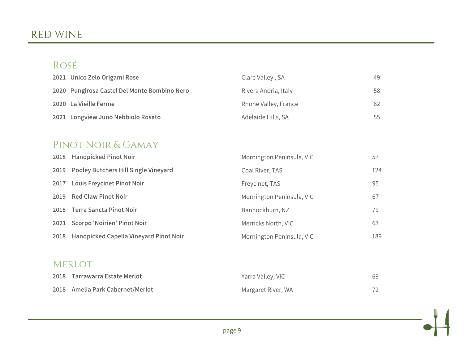### RED WINE

# ROSÉ

| 2021 Unico Zelo Origami Rose                 | Clare Valley, SA     | 49. |
|----------------------------------------------|----------------------|-----|
| 2020 Pungirosa Castel Del Monte Bombino Nero | Rivera Andria, Italy | 58  |
| 2020 La Vieille Ferme                        | Rhone Valley, France | 62  |
| 2021 Longview Juno Nebbiolo Rosato           | Adelaide Hills, SA   | 55  |

### PINOT NOIR & GAMAY

|      | 2018 Handpicked Pinot Noir                    | Mornington Peninsula, VIC | 57  |
|------|-----------------------------------------------|---------------------------|-----|
|      | 2019 Pooley Butchers Hill Single Vineyard     | Coal River, TAS           | 124 |
| 2017 | <b>Louis Freycinet Pinot Noir</b>             | Freycinet, TAS            | 95  |
|      | 2019 Red Claw Pinot Noir                      | Mornington Peninsula, VIC | 67  |
|      | 2018 Terra Sancta Pinot Noir                  | Bannockburn, NZ           | 79  |
|      | 2021 Scorpo 'Noirien' Pinot Noir              | Merricks North, VIC       | 63  |
| 2018 | <b>Handpicked Capella Vineyard Pinot Noir</b> | Mornington Peninsula, VIC | 189 |

#### MERLOT

| 2018 Tarrawarra Estate Merlot    | Yarra Valley, VIC  |    |
|----------------------------------|--------------------|----|
| 2018 Amelia Park Cabernet/Merlot | Margaret River, WA | 72 |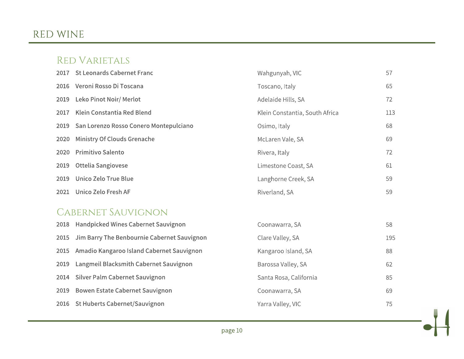# RED WINE

#### **RED VARIETALS**

|      | 2017 St Leonards Cabernet Franc        | Wahgunyah, VIC                 | 57  |
|------|----------------------------------------|--------------------------------|-----|
|      | 2016 Veroni Rosso Di Toscana           | Toscano, Italy                 | 65  |
| 2019 | <b>Leko Pinot Noir/ Merlot</b>         | Adelaide Hills, SA             | 72  |
| 2017 | Klein Constantia Red Blend             | Klein Constantia, South Africa | 113 |
| 2019 | San Lorenzo Rosso Conero Montepulciano | Osimo, Italy                   | 68  |
| 2020 | Ministry Of Clouds Grenache            | McLaren Vale, SA               | 69  |
| 2020 | <b>Primitivo Salento</b>               | Rivera, Italy                  | 72  |
| 2019 | <b>Ottelia Sangiovese</b>              | Limestone Coast, SA            | 61  |
| 2019 | Unico Zelo True Blue                   | Langhorne Creek, SA            | 59  |
| 2021 | Unico Zelo Fresh AF                    | Riverland, SA                  | 59  |

### CABERNET SAUVIGNON

| 2018 Handpicked Wines Cabernet Sauvignon         | Coonawarra, SA         | 58  |
|--------------------------------------------------|------------------------|-----|
| 2015 Jim Barry The Benbournie Cabernet Sauvignon | Clare Valley, SA       | 195 |
| 2015 Amadio Kangaroo Island Cabernet Sauvignon   | Kangaroo Island, SA    | 88  |
| 2019 Langmeil Blacksmith Cabernet Sauvignon      | Barossa Valley, SA     | 62  |
| 2014 Silver Palm Cabernet Sauvignon              | Santa Rosa, California | 85  |
| 2019 Bowen Estate Cabernet Sauvignon             | Coonawarra, SA         | 69  |
| 2016 St Huberts Cabernet/Sauvignon               | Yarra Valley, VIC      | 75  |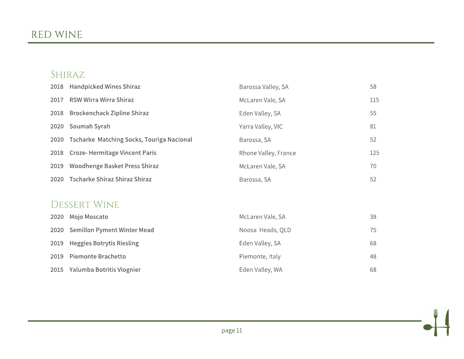### SHIRAZ

| 2018 | <b>Handpicked Wines Shiraz</b>                   | Barossa Valley, SA   | 58  |
|------|--------------------------------------------------|----------------------|-----|
| 2017 | <b>RSW Wirra Wirra Shiraz</b>                    | McLaren Vale, SA     | 115 |
| 2018 | <b>Brockenchack Zipline Shiraz</b>               | Eden Valley, SA      | 55  |
| 2020 | Soumah Syrah                                     | Yarra Valley, VIC    | 81  |
| 2020 | <b>Tscharke Matching Socks, Touriga Nacional</b> | Barossa, SA          | 52  |
| 2018 | <b>Croze-Hermitage Vincent Paris</b>             | Rhone Valley, France | 125 |
| 2019 | <b>Woodhenge Basket Press Shiraz</b>             | McLaren Vale, SA     | 70  |
| 2020 | <b>Tscharke Shiraz Shiraz Shiraz</b>             | Barossa, SA          | 52  |
|      |                                                  |                      |     |
|      | <b>DESSERT WINE</b>                              |                      |     |
| 2020 | Mojo Moscato                                     | McLaren Vale, SA     | 38  |
| 2020 | Semillon Pyment Winter Mead                      | Noosa Heads, QLD     | 75  |
| 2019 | <b>Heggies Botrytis Riesling</b>                 | Eden Valley, SA      | 68  |

**Heggles Botrytis Riesling SOTA** 2019 Piemonte Brachetto

2015 Yalumba Botritis Viognier